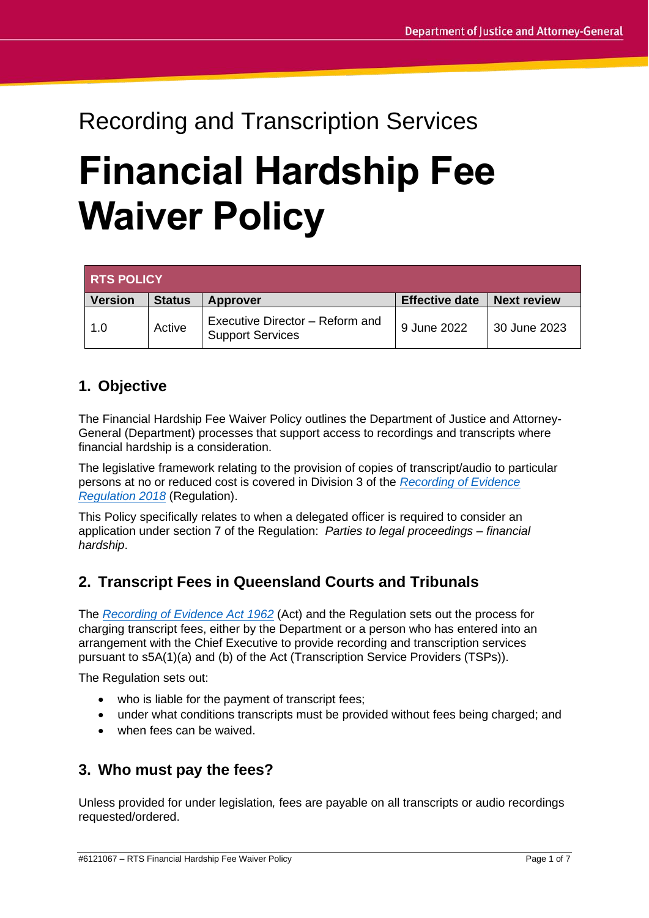# Recording and Transcription Services **Financial Hardship Fee Waiver Policy**

| <b>RTS POLICY</b> |               |                                                            |                       |                    |
|-------------------|---------------|------------------------------------------------------------|-----------------------|--------------------|
| <b>Version</b>    | <b>Status</b> | <b>Approver</b>                                            | <b>Effective date</b> | <b>Next review</b> |
| 1.0               | Active        | Executive Director - Reform and<br><b>Support Services</b> | 9 June 2022           | 30 June 2023       |

## **1. Objective**

The Financial Hardship Fee Waiver Policy outlines the Department of Justice and Attorney-General (Department) processes that support access to recordings and transcripts where financial hardship is a consideration.

The legislative framework relating to the provision of copies of transcript/audio to particular persons at no or reduced cost is covered in Division 3 of the *[Recording of Evidence](https://www.legislation.qld.gov.au/view/pdf/asmade/sl-2018-0132)  [Regulation 2018](https://www.legislation.qld.gov.au/view/pdf/asmade/sl-2018-0132)* (Regulation).

This Policy specifically relates to when a delegated officer is required to consider an application under section 7 of the Regulation: *Parties to legal proceedings – financial hardship*.

## **2. Transcript Fees in Queensland Courts and Tribunals**

The *[Recording of Evidence Act 1962](https://www.legislation.qld.gov.au/view/pdf/inforce/current/act-1962-033)* (Act) and the Regulation sets out the process for charging transcript fees, either by the Department or a person who has entered into an arrangement with the Chief Executive to provide recording and transcription services pursuant to s5A(1)(a) and (b) of the Act (Transcription Service Providers (TSPs)).

The Regulation sets out:

- who is liable for the payment of transcript fees:
- under what conditions transcripts must be provided without fees being charged; and
- when fees can be waived.

## **3. Who must pay the fees?**

Unless provided for under legislation*,* fees are payable on all transcripts or audio recordings requested/ordered.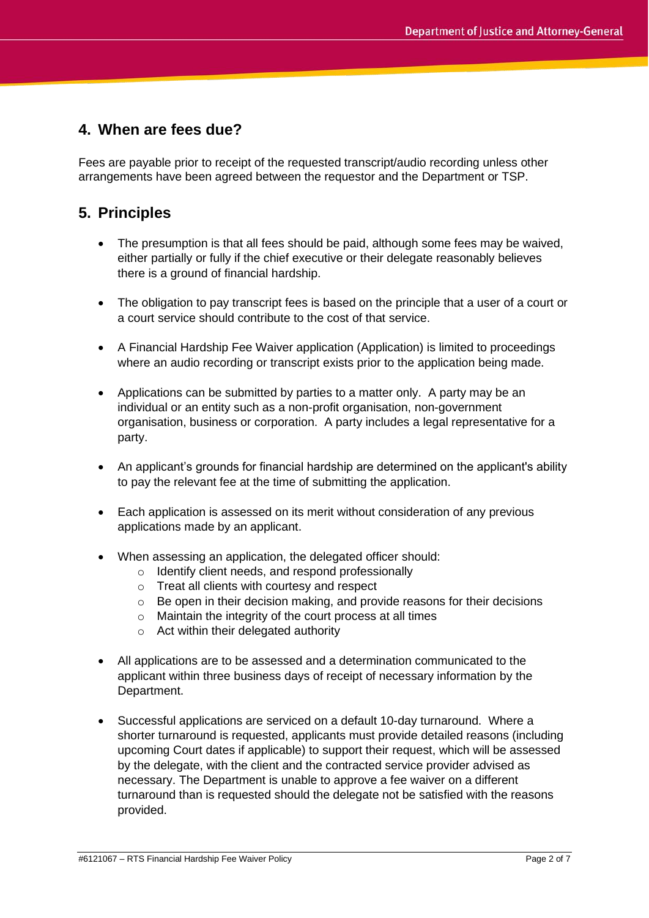## **4. When are fees due?**

Fees are payable prior to receipt of the requested transcript/audio recording unless other arrangements have been agreed between the requestor and the Department or TSP.

## **5. Principles**

- The presumption is that all fees should be paid, although some fees may be waived, either partially or fully if the chief executive or their delegate reasonably believes there is a ground of financial hardship.
- The obligation to pay transcript fees is based on the principle that a user of a court or a court service should contribute to the cost of that service.
- A Financial Hardship Fee Waiver application (Application) is limited to proceedings where an audio recording or transcript exists prior to the application being made.
- Applications can be submitted by parties to a matter only. A party may be an individual or an entity such as a non-profit organisation, non-government organisation, business or corporation. A party includes a legal representative for a party.
- An applicant's grounds for financial hardship are determined on the applicant's ability to pay the relevant fee at the time of submitting the application.
- Each application is assessed on its merit without consideration of any previous applications made by an applicant.
- When assessing an application, the delegated officer should:
	- o Identify client needs, and respond professionally
	- o Treat all clients with courtesy and respect
	- o Be open in their decision making, and provide reasons for their decisions
	- o Maintain the integrity of the court process at all times
	- o Act within their delegated authority
- All applications are to be assessed and a determination communicated to the applicant within three business days of receipt of necessary information by the Department.
- Successful applications are serviced on a default 10-day turnaround. Where a shorter turnaround is requested, applicants must provide detailed reasons (including upcoming Court dates if applicable) to support their request, which will be assessed by the delegate, with the client and the contracted service provider advised as necessary. The Department is unable to approve a fee waiver on a different turnaround than is requested should the delegate not be satisfied with the reasons provided.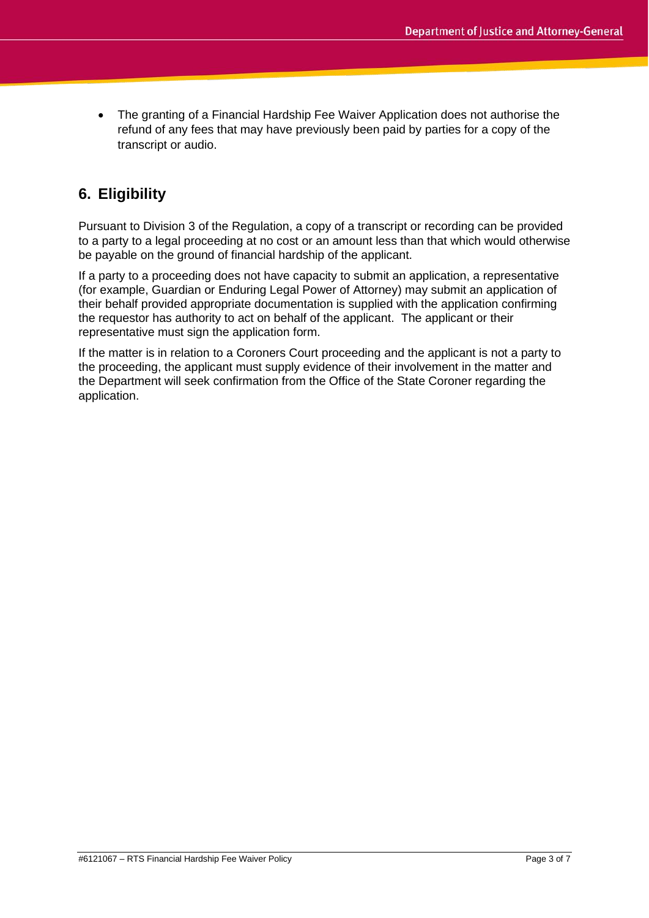• The granting of a Financial Hardship Fee Waiver Application does not authorise the refund of any fees that may have previously been paid by parties for a copy of the transcript or audio.

# **6. Eligibility**

Pursuant to Division 3 of the Regulation, a copy of a transcript or recording can be provided to a party to a legal proceeding at no cost or an amount less than that which would otherwise be payable on the ground of financial hardship of the applicant.

If a party to a proceeding does not have capacity to submit an application, a representative (for example, Guardian or Enduring Legal Power of Attorney) may submit an application of their behalf provided appropriate documentation is supplied with the application confirming the requestor has authority to act on behalf of the applicant. The applicant or their representative must sign the application form.

If the matter is in relation to a Coroners Court proceeding and the applicant is not a party to the proceeding, the applicant must supply evidence of their involvement in the matter and the Department will seek confirmation from the Office of the State Coroner regarding the application.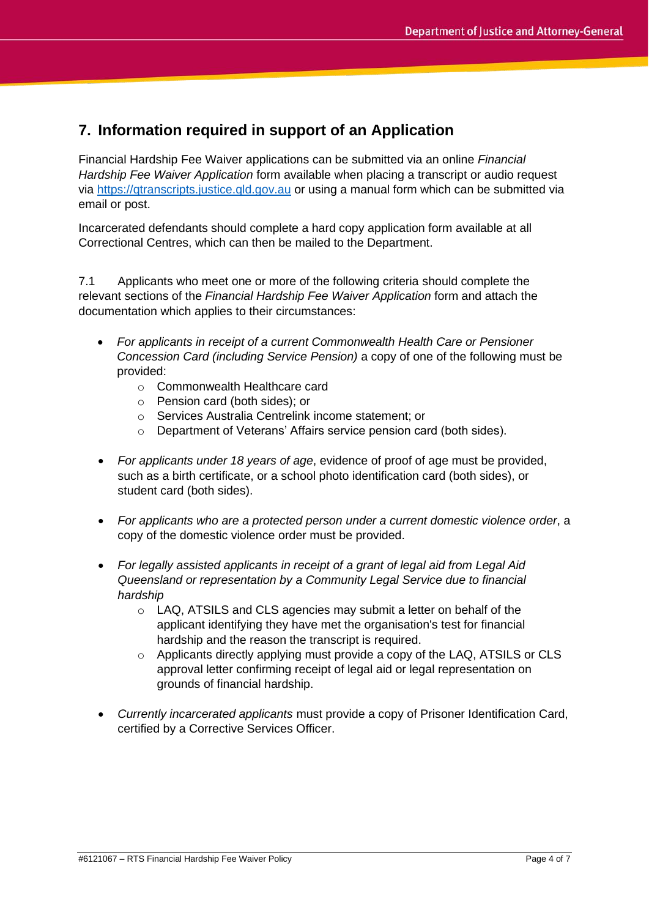## **7. Information required in support of an Application**

Financial Hardship Fee Waiver applications can be submitted via an online *Financial Hardship Fee Waiver Application* form available when placing a transcript or audio request via [https://qtranscripts.justice.qld.gov.au](https://qtranscripts.justice.qld.gov.au/) or using a manual form which can be submitted via email or post.

Incarcerated defendants should complete a hard copy application form available at all Correctional Centres, which can then be mailed to the Department.

7.1 Applicants who meet one or more of the following criteria should complete the relevant sections of the *Financial Hardship Fee Waiver Application* form and attach the documentation which applies to their circumstances:

- *For applicants in receipt of a current Commonwealth Health Care or Pensioner Concession Card (including Service Pension)* a copy of one of the following must be provided:
	- o Commonwealth Healthcare card
	- o Pension card (both sides); or
	- o Services Australia Centrelink income statement; or
	- o Department of Veterans' Affairs service pension card (both sides).
- *For applicants under 18 years of age*, evidence of proof of age must be provided, such as a birth certificate, or a school photo identification card (both sides), or student card (both sides).
- *For applicants who are a protected person under a current domestic violence order*, a copy of the domestic violence order must be provided.
- *For legally assisted applicants in receipt of a grant of legal aid from Legal Aid Queensland or representation by a Community Legal Service due to financial hardship*
	- o LAQ, ATSILS and CLS agencies may submit a letter on behalf of the applicant identifying they have met the organisation's test for financial hardship and the reason the transcript is required.
	- $\circ$  Applicants directly applying must provide a copy of the LAQ, ATSILS or CLS approval letter confirming receipt of legal aid or legal representation on grounds of financial hardship.
- *Currently incarcerated applicants* must provide a copy of Prisoner Identification Card, certified by a Corrective Services Officer.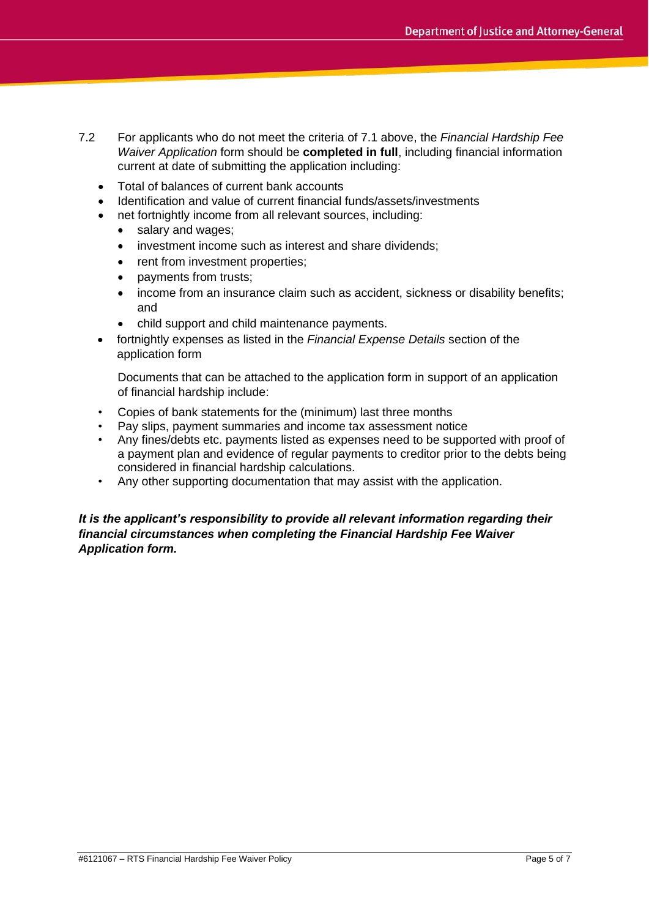- 7.2 For applicants who do not meet the criteria of 7.1 above, the *Financial Hardship Fee Waiver Application* form should be **completed in full**, including financial information current at date of submitting the application including:
	- Total of balances of current bank accounts
	- Identification and value of current financial funds/assets/investments
	- net fortnightly income from all relevant sources, including:
		- salary and wages;
		- investment income such as interest and share dividends;
		- rent from investment properties;
		- payments from trusts;
		- income from an insurance claim such as accident, sickness or disability benefits; and
		- child support and child maintenance payments.
	- fortnightly expenses as listed in the *Financial Expense Details* section of the application form

Documents that can be attached to the application form in support of an application of financial hardship include:

- Copies of bank statements for the (minimum) last three months
- Pay slips, payment summaries and income tax assessment notice
- Any fines/debts etc. payments listed as expenses need to be supported with proof of a payment plan and evidence of regular payments to creditor prior to the debts being considered in financial hardship calculations.
- Any other supporting documentation that may assist with the application.

#### *It is the applicant's responsibility to provide all relevant information regarding their financial circumstances when completing the Financial Hardship Fee Waiver Application form.*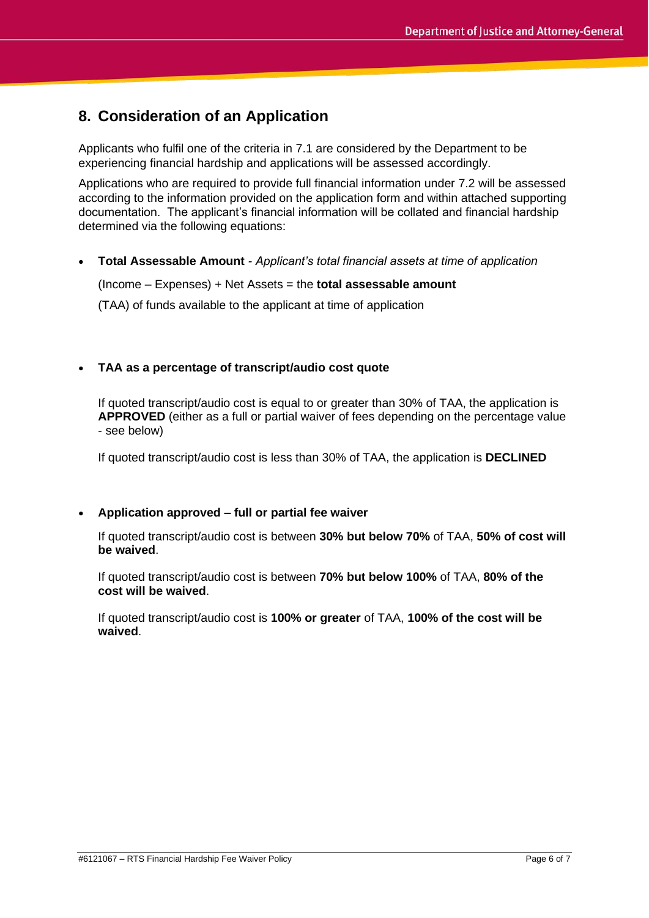## **8. Consideration of an Application**

Applicants who fulfil one of the criteria in 7.1 are considered by the Department to be experiencing financial hardship and applications will be assessed accordingly.

Applications who are required to provide full financial information under 7.2 will be assessed according to the information provided on the application form and within attached supporting documentation. The applicant's financial information will be collated and financial hardship determined via the following equations:

• **Total Assessable Amount** *- Applicant's total financial assets at time of application*

(Income – Expenses) + Net Assets = the **total assessable amount**

(TAA) of funds available to the applicant at time of application

#### • **TAA as a percentage of transcript/audio cost quote**

If quoted transcript/audio cost is equal to or greater than 30% of TAA, the application is **APPROVED** (either as a full or partial waiver of fees depending on the percentage value - see below)

If quoted transcript/audio cost is less than 30% of TAA, the application is **DECLINED**

#### • **Application approved – full or partial fee waiver**

If quoted transcript/audio cost is between **30% but below 70%** of TAA, **50% of cost will be waived**.

If quoted transcript/audio cost is between **70% but below 100%** of TAA, **80% of the cost will be waived**.

If quoted transcript/audio cost is **100% or greater** of TAA, **100% of the cost will be waived**.